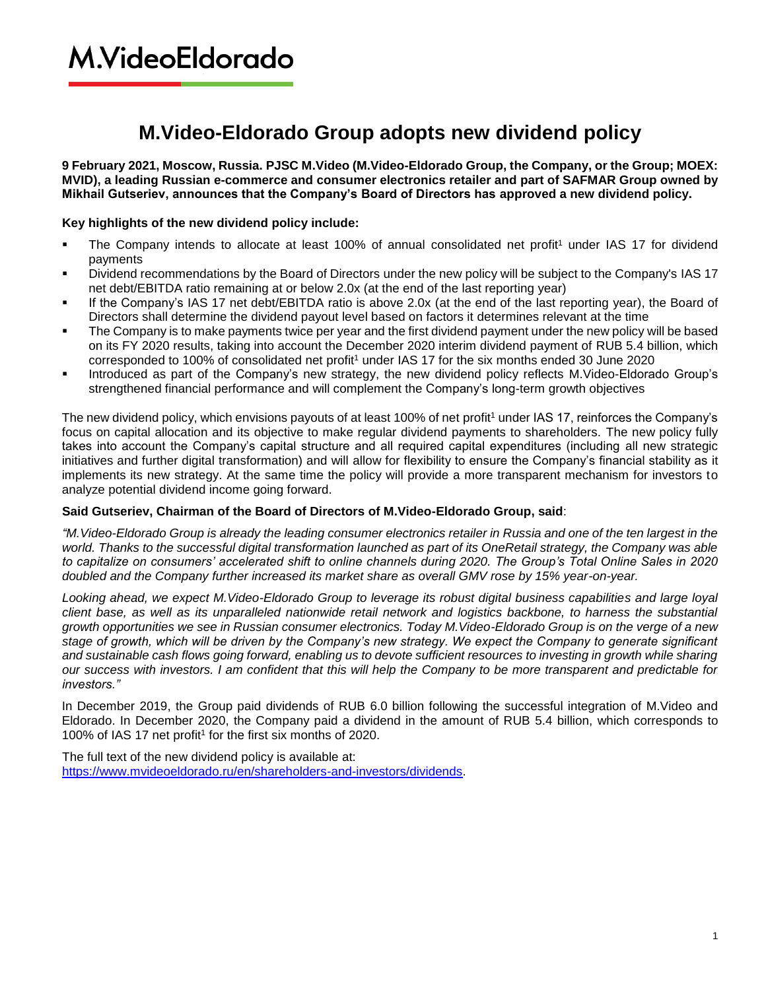# **M.VideoEldorado**

### **M.Video-Eldorado Group adopts new dividend policy**

**9 February 2021, Moscow, Russia. PJSC M.Video (M.Video-Eldorado Group, the Company, or the Group; MOEX: MVID), a leading Russian e-commerce and consumer electronics retailer and part of SAFMAR Group owned by Mikhail Gutseriev, announces that the Company's Board of Directors has approved a new dividend policy.** 

### **Key highlights of the new dividend policy include:**

- The Company intends to allocate at least 100% of annual consolidated net profit<sup>1</sup> under IAS 17 for dividend payments
- Dividend recommendations by the Board of Directors under the new policy will be subject to the Company's IAS 17 net debt/EBITDA ratio remaining at or below 2.0x (at the end of the last reporting year)
- If the Company's IAS 17 net debt/EBITDA ratio is above 2.0x (at the end of the last reporting year), the Board of Directors shall determine the dividend payout level based on factors it determines relevant at the time
- The Company is to make payments twice per year and the first dividend payment under the new policy will be based on its FY 2020 results, taking into account the December 2020 interim dividend payment of RUB 5.4 billion, which corresponded to 100% of consolidated net profit<sup>1</sup> under IAS 17 for the six months ended 30 June 2020
- Introduced as part of the Company's new strategy, the new dividend policy reflects M.Video-Eldorado Group's strengthened financial performance and will complement the Company's long-term growth objectives

The new dividend policy, which envisions payouts of at least 100% of net profit<sup>1</sup> under IAS 17, reinforces the Company's focus on capital allocation and its objective to make regular dividend payments to shareholders. The new policy fully takes into account the Company's capital structure and all required capital expenditures (including all new strategic initiatives and further digital transformation) and will allow for flexibility to ensure the Company's financial stability as it implements its new strategy. At the same time the policy will provide a more transparent mechanism for investors to analyze potential dividend income going forward.

### **Said Gutseriev, Chairman of the Board of Directors of M.Video-Eldorado Group, said**:

*"M.Video-Eldorado Group is already the leading consumer electronics retailer in Russia and one of the ten largest in the world. Thanks to the successful digital transformation launched as part of its OneRetail strategy, the Company was able to capitalize on consumers' accelerated shift to online channels during 2020. The Group's Total Online Sales in 2020 doubled and the Company further increased its market share as overall GMV rose by 15% year-on-year.* 

*Looking ahead, we expect M.Video-Eldorado Group to leverage its robust digital business capabilities and large loyal client base, as well as its unparalleled nationwide retail network and logistics backbone, to harness the substantial growth opportunities we see in Russian consumer electronics. Today M.Video-Eldorado Group is on the verge of a new stage of growth, which will be driven by the Company's new strategy. We expect the Company to generate significant and sustainable cash flows going forward, enabling us to devote sufficient resources to investing in growth while sharing our success with investors. I am confident that this will help the Company to be more transparent and predictable for investors."*

In December 2019, the Group paid dividends of RUB 6.0 billion following the successful integration of M.Video and Eldorado. In December 2020, the Company paid a dividend in the amount of RUB 5.4 billion, which corresponds to 100% of IAS 17 net profit<sup>1</sup> for the first six months of 2020.

The full text of the new dividend policy is available at: [https://www.mvideoeldorado.ru/en/shareholders-and-investors/dividends.](https://www.mvideoeldorado.ru/en/shareholders-and-investors/dividends)